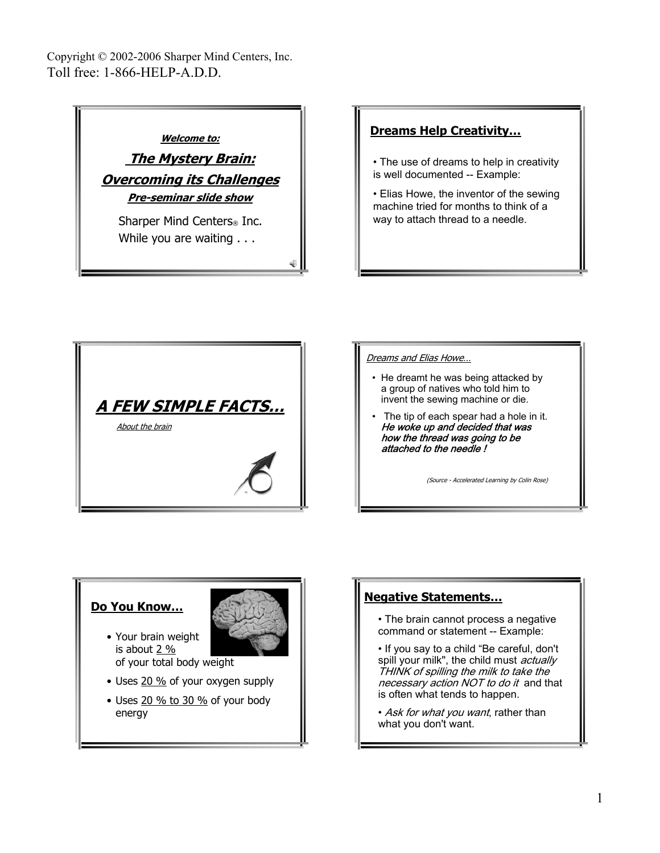

# **Dreams Help Creativity…**

• The use of dreams to help in creativity is well documented -- Example:

• Elias Howe, the inventor of the sewing machine tried for months to think of a way to attach thread to a needle.



### Dreams and Elias Howe…

- He dreamt he was being attacked by a group of natives who told him to invent the sewing machine or die.
- The tip of each spear had a hole in it. He woke up and decided that was how the thread was going to be attached to the needle !

(Source - Accelerated Learning by Colin Rose)

## **Do You Know…**

- Your brain weight is about  $2\%$ of your total body weight
- Uses 20 % of your oxygen supply
- Uses  $20\%$  to  $30\%$  of your body energy

## **Negative Statements…**

- The brain cannot process a negative command or statement -- Example:
- If you say to a child "Be careful, don't spill your milk", the child must *actually* THINK of spilling the milk to take the necessary action NOT to do it and that is often what tends to happen.
- Ask for what you want, rather than what you don't want.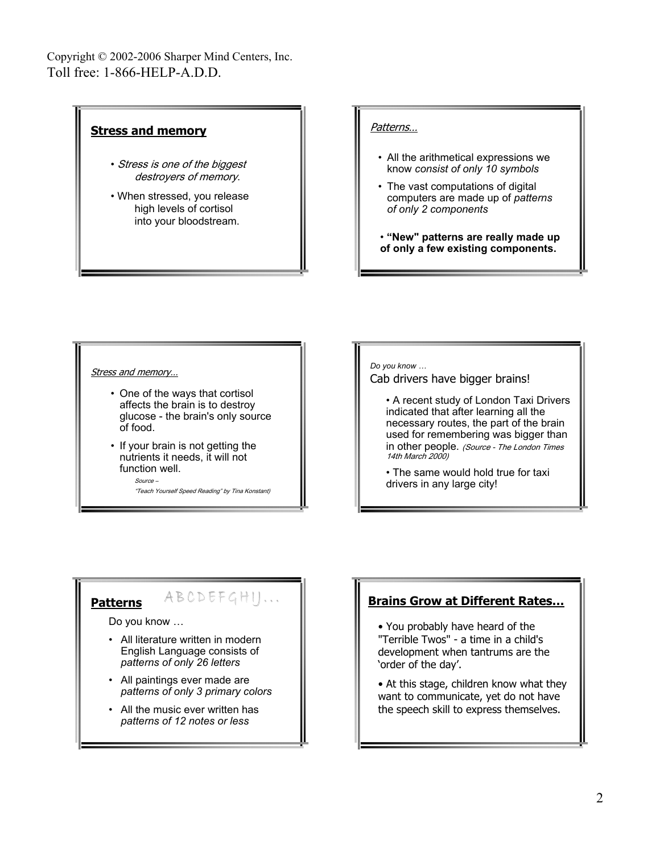#### **Stress and memory** • Stress is one of the biggest destroyers of memory. • When stressed, you release high levels of cortisol into your bloodstream. Patterns… • All the arithmetical expressions we know *consist of only 10 symbols* • The vast computations of digital computers are made up of *patterns of only 2 components* • **"New" patterns are really made up of only a few existing components.**

### Stress and memory…

- One of the ways that cortisol affects the brain is to destroy glucose - the brain's only source of food.
- If your brain is not getting the nutrients it needs, it will not function well.

Source –

"Teach Yourself Speed Reading" by Tina Konstant)

ABCDEFGHI ...

#### *Do you know …*

Cab drivers have bigger brains!

• A recent study of London Taxi Drivers indicated that after learning all the necessary routes, the part of the brain used for remembering was bigger than in other people. (Source - The London Times 14th March 2000)

• The same would hold true for taxi drivers in any large city!

### **Patterns**

Do you know …

- All literature written in modern English Language consists of *patterns of only 26 letters*
- All paintings ever made are *patterns of only 3 primary colors*
- All the music ever written has *patterns of 12 notes or less*

# **Brains Grow at Different Rates…**

• You probably have heard of the "Terrible Twos" - a time in a child's development when tantrums are the 'order of the day'.

• At this stage, children know what they want to communicate, yet do not have the speech skill to express themselves.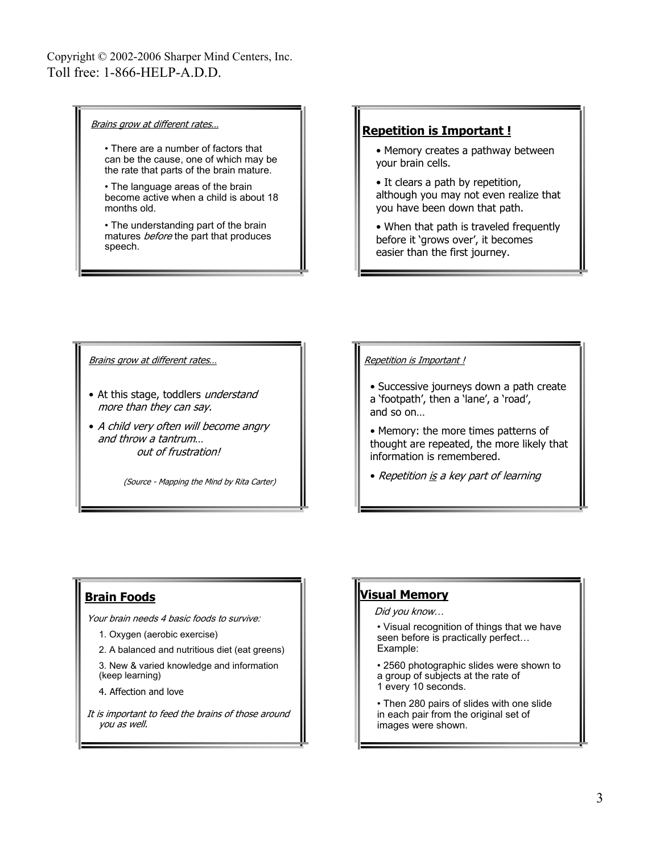### Brains grow at different rates…

- There are a number of factors that can be the cause, one of which may be the rate that parts of the brain mature.
- The language areas of the brain become active when a child is about 18 months old.

• The understanding part of the brain matures *before* the part that produces speech.

### **Repetition is Important !**

- Memory creates a pathway between your brain cells.
- It clears a path by repetition, although you may not even realize that you have been down that path.
- When that path is traveled frequently before it 'grows over', it becomes easier than the first journey.

Brains grow at different rates...

- At this stage, toddlers understand more than they can say.
- A child very often will become angry and throw a tantrum… out of frustration!

(Source - Mapping the Mind by Rita Carter)

### Repetition is Important !

- Successive journeys down a path create a 'footpath', then a 'lane', a 'road', and so on…
- Memory: the more times patterns of thought are repeated, the more likely that information is remembered.
- Repetition is a key part of learning

## **Brain Foods**

Your brain needs 4 basic foods to survive:

1. Oxygen (aerobic exercise)

2. A balanced and nutritious diet (eat greens) 3. New & varied knowledge and information (keep learning)

4. Affection and love

It is important to feed the brains of those around you as well.

## **Visual Memory**

Did you know…

- Visual recognition of things that we have seen before is practically perfect… Example:
- 2560 photographic slides were shown to a group of subjects at the rate of 1 every 10 seconds.
- Then 280 pairs of slides with one slide in each pair from the original set of images were shown.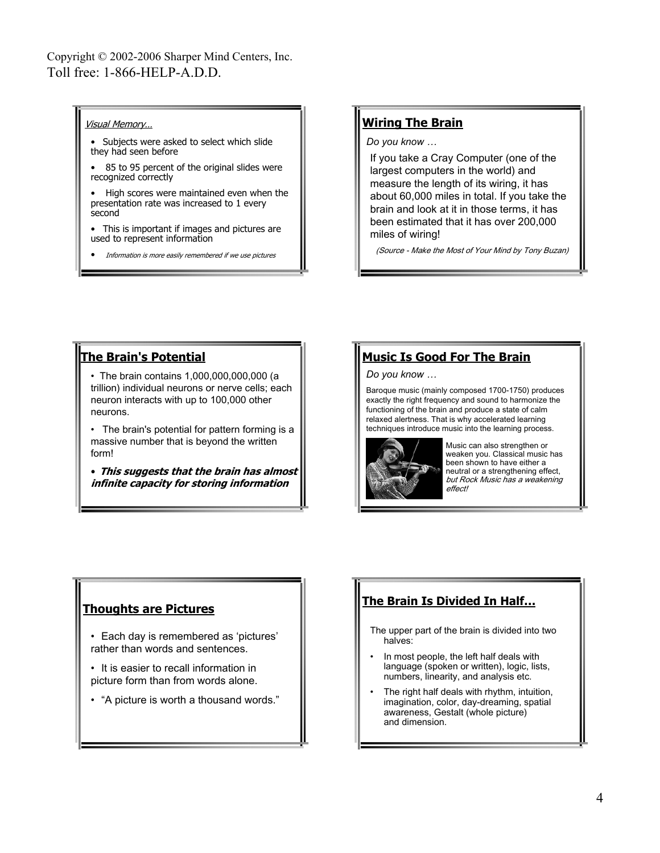### Visual Memory…

- Subjects were asked to select which slide they had seen before
- 85 to 95 percent of the original slides were recognized correctly
- High scores were maintained even when the presentation rate was increased to 1 every second
- This is important if images and pictures are used to represent information
- Information is more easily remembered if we use pictures

## **Wiring The Brain**

### *Do you know …*

If you take a Cray Computer (one of the largest computers in the world) and measure the length of its wiring, it has about 60,000 miles in total. If you take the brain and look at it in those terms, it has been estimated that it has over 200,000 miles of wiring!

(Source - Make the Most of Your Mind by Tony Buzan)

### **The Brain's Potential**

- The brain contains 1,000,000,000,000 (a trillion) individual neurons or nerve cells; each neuron interacts with up to 100,000 other neurons.
- The brain's potential for pattern forming is a massive number that is beyond the written form!
- **This suggests that the brain has almost infinite capacity for storing information**

# **Music Is Good For The Brain**

#### *Do you know …*

Baroque music (mainly composed 1700-1750) produces exactly the right frequency and sound to harmonize the functioning of the brain and produce a state of calm relaxed alertness. That is why accelerated learning techniques introduce music into the learning process.



Music can also strengthen or weaken you. Classical music has been shown to have either a neutral or a strengthening effect, but Rock Music has a weakening effect!

# **Thoughts are Pictures**

- Each day is remembered as 'pictures' rather than words and sentences.
- It is easier to recall information in picture form than from words alone.
- "A picture is worth a thousand words."

# **The Brain Is Divided In Half…**

- The upper part of the brain is divided into two halves:
- In most people, the left half deals with language (spoken or written), logic, lists, numbers, linearity, and analysis etc.
- The right half deals with rhythm, intuition, imagination, color, day-dreaming, spatial awareness, Gestalt (whole picture) and dimension.